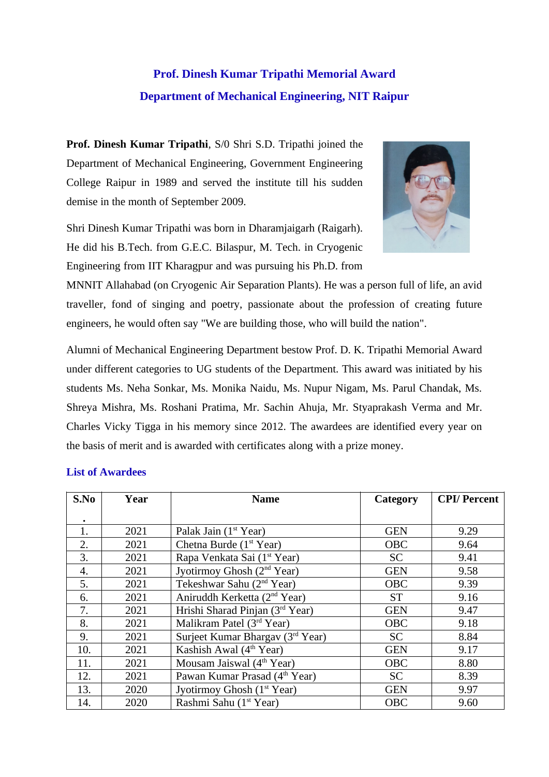## **Prof. Dinesh Kumar Tripathi Memorial Award Department of Mechanical Engineering, NIT Raipur**

**Prof. Dinesh Kumar Tripathi**, S/0 Shri S.D. Tripathi joined the Department of Mechanical Engineering, Government Engineering College Raipur in 1989 and served the institute till his sudden demise in the month of September 2009.



Shri Dinesh Kumar Tripathi was born in Dharamjaigarh (Raigarh). He did his B.Tech. from G.E.C. Bilaspur, M. Tech. in Cryogenic Engineering from IIT Kharagpur and was pursuing his Ph.D. from

MNNIT Allahabad (on Cryogenic Air Separation Plants). He was a person full of life, an avid traveller, fond of singing and poetry, passionate about the profession of creating future engineers, he would often say "We are building those, who will build the nation".

Alumni of Mechanical Engineering Department bestow Prof. D. K. Tripathi Memorial Award under different categories to UG students of the Department. This award was initiated by his students Ms. Neha Sonkar, Ms. Monika Naidu, Ms. Nupur Nigam, Ms. Parul Chandak, Ms. Shreya Mishra, Ms. Roshani Pratima, Mr. Sachin Ahuja, Mr. Styaprakash Verma and Mr. Charles Vicky Tigga in his memory since 2012. The awardees are identified every year on the basis of merit and is awarded with certificates along with a prize money.

| S.No | Year | <b>Name</b>                               | Category   | <b>CPI/Percent</b> |
|------|------|-------------------------------------------|------------|--------------------|
|      |      |                                           |            |                    |
| 1.   | 2021 | Palak Jain (1 <sup>st</sup> Year)         | <b>GEN</b> | 9.29               |
| 2.   | 2021 | Chetna Burde (1 <sup>st</sup> Year)       | <b>OBC</b> | 9.64               |
| 3.   | 2021 | Rapa Venkata Sai (1 <sup>st</sup> Year)   | <b>SC</b>  | 9.41               |
| 4.   | 2021 | Jyotirmoy Ghosh (2 <sup>nd</sup> Year)    | <b>GEN</b> | 9.58               |
| 5.   | 2021 | Tekeshwar Sahu (2 <sup>nd</sup> Year)     | <b>OBC</b> | 9.39               |
| 6.   | 2021 | Aniruddh Kerketta (2 <sup>nd</sup> Year)  | <b>ST</b>  | 9.16               |
| 7.   | 2021 | Hrishi Sharad Pinjan (3rd Year)           | <b>GEN</b> | 9.47               |
| 8.   | 2021 | Malikram Patel (3rd Year)                 | OBC        | 9.18               |
| 9.   | 2021 | Surjeet Kumar Bhargav (3rd Year)          | <b>SC</b>  | 8.84               |
| 10.  | 2021 | Kashish Awal (4 <sup>th</sup> Year)       | <b>GEN</b> | 9.17               |
| 11.  | 2021 | Mousam Jaiswal $(4th Year)$               | <b>OBC</b> | 8.80               |
| 12.  | 2021 | Pawan Kumar Prasad (4 <sup>th</sup> Year) | <b>SC</b>  | 8.39               |
| 13.  | 2020 | Jyotirmoy Ghosh (1 <sup>st</sup> Year)    | <b>GEN</b> | 9.97               |
| 14.  | 2020 | Rashmi Sahu (1 <sup>st</sup> Year)        | <b>OBC</b> | 9.60               |

## **List of Awardees**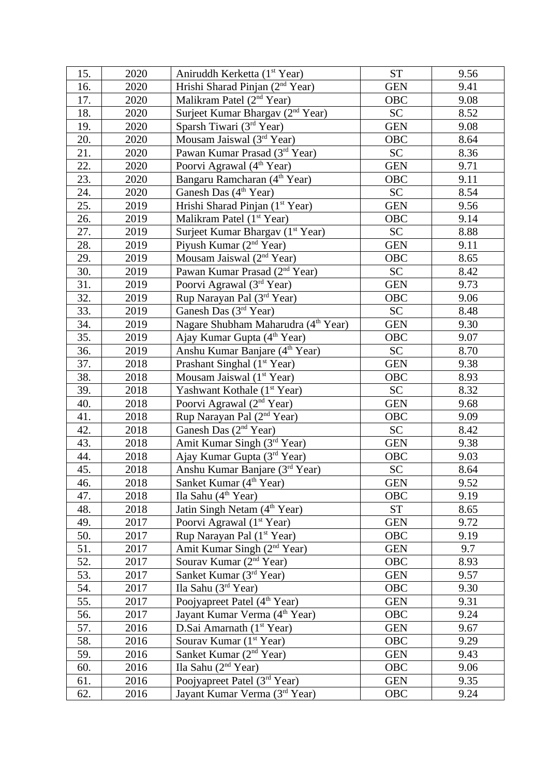| 15. | 2020 | Aniruddh Kerketta (1 <sup>st</sup> Year)        | <b>ST</b>  | 9.56 |
|-----|------|-------------------------------------------------|------------|------|
| 16. | 2020 | Hrishi Sharad Pinjan (2 <sup>nd</sup> Year)     | <b>GEN</b> | 9.41 |
| 17. | 2020 | Malikram Patel (2 <sup>nd</sup> Year)           | OBC        | 9.08 |
| 18. | 2020 | Surjeet Kumar Bhargav (2 <sup>nd</sup> Year)    | <b>SC</b>  | 8.52 |
| 19. | 2020 | Sparsh Tiwari (3rd Year)                        | <b>GEN</b> | 9.08 |
| 20. | 2020 | Mousam Jaiswal $(3rd Year)$                     | OBC        | 8.64 |
| 21. | 2020 | Pawan Kumar Prasad (3rd Year)                   | <b>SC</b>  | 8.36 |
| 22. | 2020 | Poorvi Agrawal (4 <sup>th</sup> Year)           | <b>GEN</b> | 9.71 |
| 23. | 2020 | Bangaru Ramcharan (4 <sup>th</sup> Year)        | OBC        | 9.11 |
| 24. | 2020 | Ganesh Das (4 <sup>th</sup> Year)               | <b>SC</b>  | 8.54 |
| 25. | 2019 | Hrishi Sharad Pinjan (1 <sup>st</sup> Year)     | <b>GEN</b> | 9.56 |
| 26. | 2019 | Malikram Patel (1 <sup>st</sup> Year)           | OBC        | 9.14 |
| 27. | 2019 | Surjeet Kumar Bhargav (1 <sup>st</sup> Year)    | <b>SC</b>  | 8.88 |
| 28. | 2019 | Piyush Kumar (2 <sup>nd</sup> Year)             | <b>GEN</b> | 9.11 |
| 29. | 2019 | Mousam Jaiswal $(2nd Year)$                     | <b>OBC</b> | 8.65 |
| 30. | 2019 | Pawan Kumar Prasad (2 <sup>nd</sup> Year)       | <b>SC</b>  | 8.42 |
| 31. | 2019 | Poorvi Agrawal (3rd Year)                       | <b>GEN</b> | 9.73 |
| 32. | 2019 | Rup Narayan Pal (3rd Year)                      | OBC        | 9.06 |
| 33. | 2019 | Ganesh Das $(3rd Year)$                         | <b>SC</b>  | 8.48 |
| 34. | 2019 | Nagare Shubham Maharudra (4 <sup>th</sup> Year) | <b>GEN</b> | 9.30 |
| 35. | 2019 | Ajay Kumar Gupta (4 <sup>th</sup> Year)         | <b>OBC</b> | 9.07 |
| 36. | 2019 |                                                 | <b>SC</b>  | 8.70 |
| 37. |      | Anshu Kumar Banjare (4 <sup>th</sup> Year)      | <b>GEN</b> |      |
| 38. | 2018 | Prashant Singhal (1 <sup>st</sup> Year)         | OBC        | 9.38 |
|     | 2018 | Mousam Jaiswal (1 <sup>st</sup> Year)           |            | 8.93 |
| 39. | 2018 | Yashwant Kothale (1 <sup>st</sup> Year)         | <b>SC</b>  | 8.32 |
| 40. | 2018 | Poorvi Agrawal (2 <sup>nd</sup> Year)           | <b>GEN</b> | 9.68 |
| 41. | 2018 | Rup Narayan Pal (2 <sup>nd</sup> Year)          | OBC        | 9.09 |
| 42. | 2018 | Ganesh Das $(2nd Year)$                         | <b>SC</b>  | 8.42 |
| 43. | 2018 | Amit Kumar Singh (3rd Year)                     | <b>GEN</b> | 9.38 |
| 44. | 2018 | Ajay Kumar Gupta (3 <sup>rd</sup> Year)         | OBC        | 9.03 |
| 45. | 2018 | Anshu Kumar Banjare (3rd Year)                  | <b>SC</b>  | 8.64 |
| 46. | 2018 | Sanket Kumar (4 <sup>th</sup> Year)             | <b>GEN</b> | 9.52 |
| 47. | 2018 | Ila Sahu $(4th Year)$                           | OBC        | 9.19 |
| 48. | 2018 | Jatin Singh Netam (4 <sup>th</sup> Year)        | <b>ST</b>  | 8.65 |
| 49. | 2017 | Poorvi Agrawal (1 <sup>st</sup> Year)           | <b>GEN</b> | 9.72 |
| 50. | 2017 | Rup Narayan Pal (1 <sup>st</sup> Year)          | OBC        | 9.19 |
| 51. | 2017 | Amit Kumar Singh (2 <sup>nd</sup> Year)         | <b>GEN</b> | 9.7  |
| 52. | 2017 | Sourav Kumar (2 <sup>nd</sup> Year)             | OBC        | 8.93 |
| 53. | 2017 | Sanket Kumar (3rd Year)                         | <b>GEN</b> | 9.57 |
| 54. | 2017 | Ila Sahu (3rd Year)                             | OBC        | 9.30 |
| 55. | 2017 | Poojyapreet Patel (4 <sup>th</sup> Year)        | <b>GEN</b> | 9.31 |
| 56. | 2017 | Jayant Kumar Verma (4 <sup>th</sup> Year)       | OBC        | 9.24 |
| 57. | 2016 | D.Sai Amarnath (1 <sup>st</sup> Year)           | <b>GEN</b> | 9.67 |
| 58. | 2016 | Sourav Kumar (1 <sup>st</sup> Year)             | OBC        | 9.29 |
| 59. | 2016 | Sanket Kumar (2 <sup>nd</sup> Year)             | <b>GEN</b> | 9.43 |
| 60. | 2016 | Ila Sahu (2 <sup>nd</sup> Year)                 | OBC        | 9.06 |
| 61. | 2016 | Poojyapreet Patel (3rd Year)                    | <b>GEN</b> | 9.35 |
| 62. | 2016 | Jayant Kumar Verma (3 <sup>rd</sup> Year)       | OBC        | 9.24 |